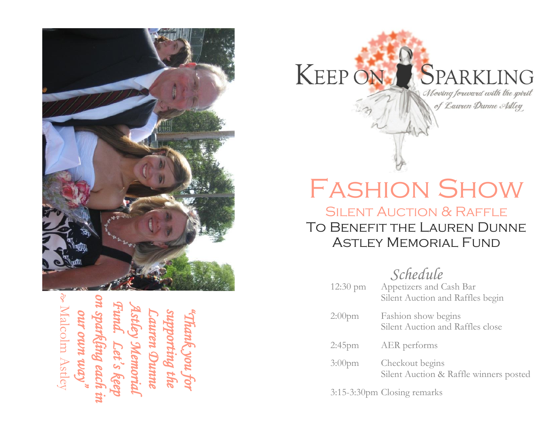

*on sparkling each in Fund. Astley Memorial*  **our own way"**<br>Malcolm Astley *Lauren D supporting the "Thank you for our own way*Memori *Let's keep*  ing each *unne* 



# Fashion Show

### Silent Auction & Raffle To Benefit the Lauren Dunne Astley Memorial Fund

*Schedule* 

| $12:30 \text{ pm}$ | Appetizers and Cash Bar<br>Silent Auction and Raffles begin |
|--------------------|-------------------------------------------------------------|
| $2:00$ pm          | Fashion show begins<br>Silent Auction and Raffles close     |
| $2:45$ pm          | AER performs                                                |
| 3:00 <sub>pm</sub> | Checkout begins<br>Silent Auction & Raffle winners posted   |

3:15 -3:30pm Closing remarks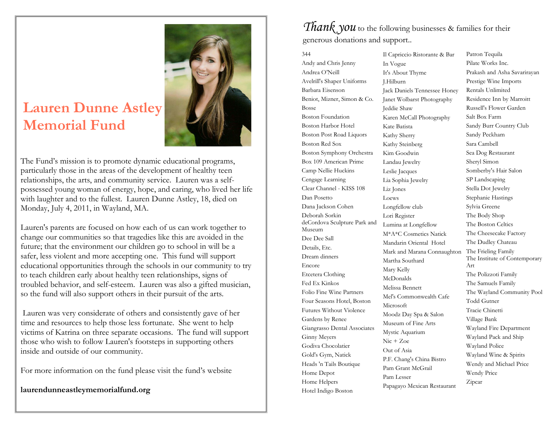## **Lauren Dunne Astley Memorial Fund**



The Fund's mission is to promote dynamic educational programs, particularly those in the areas of the development of healthy teen relationships, the arts, and community service. Lauren was a selfpossessed young woman of energy, hope, and caring, who lived her life with laughter and to the fullest. Lauren Dunne Astley, 18, died on Monday, July 4, 2011, in Wayland, MA.

Lauren's parents are focused on how each of us can work together to change our communities so that tragedies like this are avoided in the future; that the environment our children go to school in will be a safer, less violent and more accepting one. This fund will support educational opportunities through the schools in our community to try to teach children early about healthy teen relationships, signs of troubled behavior, and self-esteem. Lauren was also a gifted musician, so the fund will also support others in their pursuit of the arts.

Lauren was very considerate of others and consistently gave of her time and resources to help those less fortunate. She went to help victims of Katrina on three separate occasions. The fund will support those who wish to follow Lauren's footsteps in supporting others inside and outside of our community.

For more information on the fund please visit the fund's website

**laurendunneastleymemorialfund.org**

### *Thank you* to the following businesses & families for their generous donations and support..

344 Andy and Chris Jenny Andrea O'Neill Avelrill's Shaper Uniforms Barbara Eisenson Beniot, Mizner, Simon & Co. Bosse Boston Foundation Boston Harbor Hotel Boston Post Road Liquors Boston Red Sox Boston Symphony Orchestra Box 109 American Prime Camp Nellie Huckins Cengage Learning Clear Channel - KISS 108 Dan Posetto Dana Jackson Cohen Deborah Sorkin deCordova Sculpture Park and Museum Dee Dee Sall Details, Etc. Dream dinners Encore Etcetera Clothing Fed Ex Kinkos Folio Fine Wine Partners Four Seasons Hotel, Boston Futures Without Violence Gardens by Renee Giangrasso Dental Associates Ginny Meyers Godiva Chocolatier Gold's Gym, Natick Heads 'n Tails Boutique Home Depot Home Helpers Hotel Indigo Boston

Il Capriccio Ristorante & Bar In Vogue It's About Thyme J.Hilburn Jack Daniels Tennessee Honey Janet Wolbarst Photography Jeddie Shaw Karen McCall Photography Kate Batista Kathy Sherry Kathy Steinberg Kim Goodwin Landau Jewelry Leslie Jacques Lia Sophia Jewelry Liz Jones Loews Longfellow club Lori Register Lumina at Longfellow M\*A\*C Cosmetics Natick Mandarin Oriental Hotel Mark and Marana Connaughton Martha Southard Mary Kelly McDonalds Melissa Bennett Mel's Commonwealth Cafe Microsoft Moodz Day Spa & Salon Museum of Fine Arts Mystic Aquarium Nic + Zoe Out of Asia P.F. Chang's China Bistro Pam Grant McGrail Pam Lesser Papagayo Mexican Restaurant

Patron Tequila Pilate Works Inc. Prakash and Asha Savarirayan Prestige Wine Imports Rentals Unlimited Residence Inn by Marroitt Russell's Flower Garden Salt Box Farm Sandy Burr Country Club Sandy Peckham Sara Cambell Sea Dog Restaurant Sheryl Simon Somberby's Hair Salon SP Landscaping Stella Dot Jewelry Stephanie Hastings Sylvia Greene The Body Shop The Boston Celtics The Cheesecake Factory The Dudley Chateau The Frieling Family The Institute of Contemporary Art The Polizzoti Family The Samuels Family The Wayland Community Pool Todd Gutner Tracie Chinetti Village Bank Wayland Fire Department Wayland Pack and Ship Wayland Police Wayland Wine & Spirits Wendy and Michael Price Wendy Price Zipcar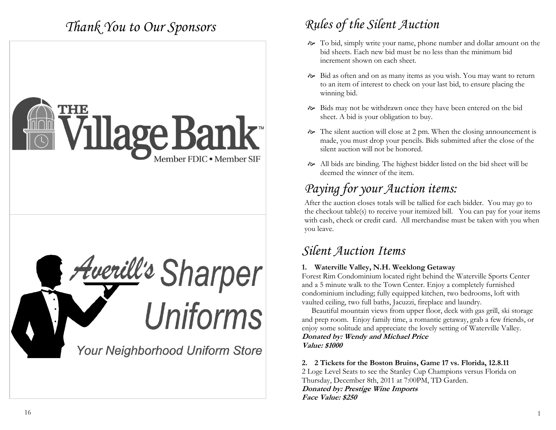## *Thank You to Our Sponsors*





## *Rules of the Silent Auction*

- To bid, simply write your name, phone number and dollar amount on the bid sheets. Each new bid must be no less than the minimum bid increment shown on each sheet.
- Bid as often and on as many items as you wish. You may want to return to an item of interest to check on your last bid, to ensure placing the winning bid.
- Bids may not be withdrawn once they have been entered on the bid sheet. A bid is your obligation to buy.
- The silent auction will close at 2 pm. When the closing announcement is made, you must drop your pencils. Bids submitted after the close of the silent auction will not be honored.
- All bids are binding. The highest bidder listed on the bid sheet will be deemed the winner of the item.

## *Paying for your Auction items:*

After the auction closes totals will be tallied for each bidder. You may go to the checkout table(s) to receive your itemized bill. You can pay for your items with cash, check or credit card. All merchandise must be taken with you when you leave.

### *Silent Auction Items*

### **1. Waterville Valley, N.H. Weeklong Getaway**

Forest Rim Condominium located right behind the Waterville Sports Center and a 5 minute walk to the Town Center. Enjoy a completely furnished condominium including; fully equipped kitchen, two bedrooms, loft with vaulted ceiling, two full baths, Jacuzzi, fireplace and laundry.

 Beautiful mountain views from upper floor, deck with gas grill, ski storage and prep room. Enjoy family time, a romantic getaway, grab a few friends, or enjoy some solitude and appreciate the lovely setting of Waterville Valley. **Donated by: Wendy and Michael Price Value: \$1000**

### **2. 2 Tickets for the Boston Bruins, Game 17 vs. Florida, 12.8.11**

2 Loge Level Seats to see the Stanley Cup Champions versus Florida on Thursday, December 8th, 2011 at 7:00PM, TD Garden. **Donated by: Prestige Wine Imports Face Value: \$250**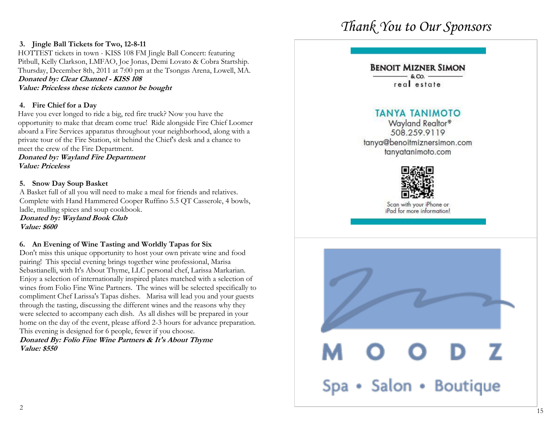## *Thank You to Our Sponsors*

### **3. Jingle Ball Tickets for Two, 12-8-11**

HOTTEST tickets in town - KISS 108 FM Jingle Ball Concert: featuring Pitbull, Kelly Clarkson, LMFAO, Joe Jonas, Demi Lovato & Cobra Startship. Thursday, December 8th, 2011 at 7:00 pm at the Tsongas Arena, Lowell, MA. **Donated by: Clear Channel - KISS 108 Value: Priceless these tickets cannot be bought**

### **4. Fire Chief for a Day**

Have you ever longed to ride a big, red fire truck? Now you have the opportunity to make that dream come true! Ride alongside Fire Chief Loomer aboard a Fire Services apparatus throughout your neighborhood, along with a private tour of the Fire Station, sit behind the Chief's desk and a chance to meet the crew of the Fire Department.

**Donated by: Wayland Fire Department Value: Priceless**

### **5. Snow Day Soup Basket**

A Basket full of all you will need to make a meal for friends and relatives. Complete with Hand Hammered Cooper Ruffino 5.5 QT Casserole, 4 bowls, ladle, mulling spices and soup cookbook.

**Donated by: Wayland Book Club Value: \$600**

### **6. An Evening of Wine Tasting and Worldly Tapas for Six**

Don't miss this unique opportunity to host your own private wine and food pairing! This special evening brings together wine professional, Marisa Sebastianelli, with It's About Thyme, LLC personal chef, Larissa Markarian. Enjoy a selection of internationally inspired plates matched with a selection of wines from Folio Fine Wine Partners. The wines will be selected specifically to compliment Chef Larissa's Tapas dishes. Marisa will lead you and your guests through the tasting, discussing the different wines and the reasons why they were selected to accompany each dish. As all dishes will be prepared in your home on the day of the event, please afford 2-3 hours for advance preparation. This evening is designed for 6 people, fewer if you choose.

**Donated By: Folio Fine Wine Partners & It's About Thyme Value: \$550**

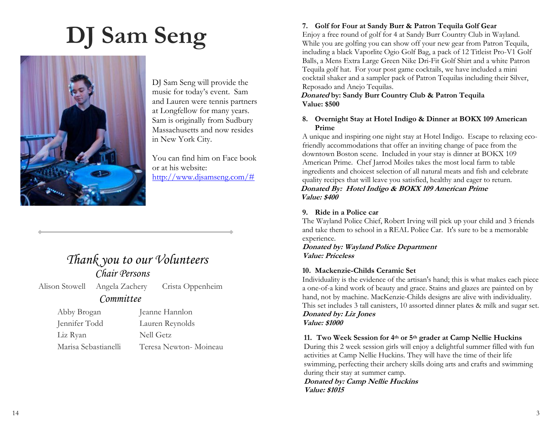# **DJ Sam Seng**



DJ Sam Seng will provide the music for today's event. Sam and Lauren were tennis partners at Longfellow for many years. Sam is originally from Sudbury Massachusetts and now resides in New York City.

You can find him on Face book or at his website: [http://www.djsamseng.com/#](http://www.djsamseng.com/)

### *Thank you to our Volunteers Chair Persons*

Alison Stowell Angela Zachery Crista Oppenheim

### *Committee*

Abby Brogan Jeanne Hannlon

Jennifer Todd Lauren Reynolds Liz Ryan Nell Getz Marisa Sebastianelli Teresa Newton- Moineau

### **7. Golf for Four at Sandy Burr & Patron Tequila Golf Gear**

Enjoy a free round of golf for 4 at Sandy Burr Country Club in Wayland. While you are golfing you can show off your new gear from Patron Tequila, including a black Vaporlite Ogio Golf Bag, a pack of 12 Titleist Pro-V1 Golf Balls, a Mens Extra Large Green Nike Dri-Fit Golf Shirt and a white Patron Tequila golf hat. For your post game cocktails, we have included a mini cocktail shaker and a sampler pack of Patron Tequilas including their Silver, Reposado and Anejo Tequilas.

### **Donated by: Sandy Burr Country Club & Patron Tequila Value: \$500**

### **8. Overnight Stay at Hotel Indigo & Dinner at BOKX 109 American Prime**

A unique and inspiring one night stay at Hotel Indigo. Escape to relaxing ecofriendly accommodations that offer an inviting change of pace from the downtown Boston scene. Included in your stay is dinner at BOKX 109 American Prime. Chef Jarrod Moiles takes the most local farm to table ingredients and choicest selection of all natural meats and fish and celebrate quality recipes that will leave you satisfied, healthy and eager to return. **Donated By: Hotel Indigo & BOKX 109 American Prime Value: \$400**

### **9. Ride in a Police car**

The Wayland Police Chief, Robert Irving will pick up your child and 3 friends and take them to school in a REAL Police Car. It's sure to be a memorable experience.

**Donated by: Wayland Police Department Value: Priceless**

### **10. Mackenzie-Childs Ceramic Set**

Individuality is the evidence of the artisan's hand; this is what makes each piece a one-of-a kind work of beauty and grace. Stains and glazes are painted on by hand, not by machine. MacKenzie-Childs designs are alive with individuality. This set includes 3 tall canisters, 10 assorted dinner plates & milk and sugar set. **Donated by: Liz Jones Value: \$1000**

### **11. Two Week Session for 4th or 5th grader at Camp Nellie Huckins**

During this 2 week session girls will enjoy a delightful summer filled with fun activities at Camp Nellie Huckins. They will have the time of their life swimming, perfecting their archery skills doing arts and crafts and swimming during their stay at summer camp.

**Donated by: Camp Nellie Huckins Value: \$1015**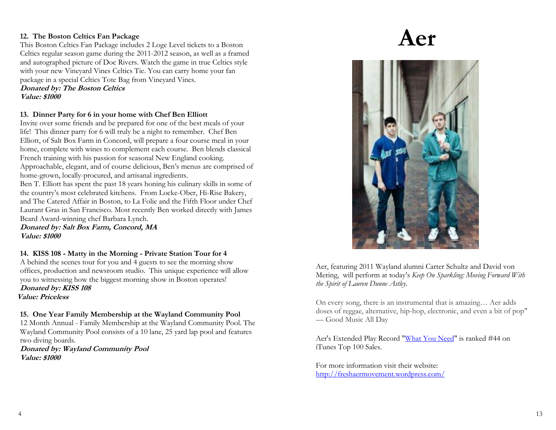### **12. The Boston Celtics Fan Package**

This Boston Celtics Fan Package includes 2 Loge Level tickets to a Boston Celtics regular season game during the 2011-2012 season, as well as a framed and autographed picture of Doc Rivers. Watch the game in true Celtics style with your new Vineyard Vines Celtics Tie. You can carry home your fan package in a special Celtics Tote Bag from Vineyard Vines.

### **Donated by: The Boston Celtics Value: \$1000**

### **13. Dinner Party for 6 in your home with Chef Ben Elliott**

Invite over some friends and be prepared for one of the best meals of your life! This dinner party for 6 will truly be a night to remember. Chef Ben Elliott, of Salt Box Farm in Concord, will prepare a four course meal in your home, complete with wines to complement each course. Ben blends classical French training with his passion for seasonal New England cooking. Approachable, elegant, and of course delicious, Ben's menus are comprised of home-grown, locally-procured, and artisanal ingredients.

Ben T. Elliott has spent the past 18 years honing his culinary skills in some of the country's most celebrated kitchens. From Locke-Ober, Hi-Rise Bakery, and The Catered Affair in Boston, to La Folie and the Fifth Floor under Chef Laurant Gras in San Francisco. Most recently Ben worked directly with James Beard Award-winning chef Barbara Lynch.

**Donated by: Salt Box Farm, Concord, MA Value: \$1000**

### **14. KISS 108 - Matty in the Morning - Private Station Tour for 4**

A behind the scenes tour for you and 4 guests to see the morning show offices, production and newsroom studio. This unique experience will allow you to witnessing how the biggest morning show in Boston operates! **Donated by: KISS 108 Value: Priceless**

### **15. One Year Family Membership at the Wayland Community Pool**

12 Month Annual - Family Membership at the Wayland Community Pool. The Wayland Community Pool consists of a 10 lane, 25 yard lap pool and features two diving boards.

**Donated by: Wayland Community Pool Value: \$1000**

## **Aer**



Aer, featuring 2011 Wayland alumni Carter Schultz and David von Mering, will perform at today's *Keep On Sparkling: Moving Forward With the Spirit of Lauren Dunne Astley*.

On every song, there is an instrumental that is amazing… Aer adds doses of reggae, alternative, hip-hop, electronic, and even a bit of pop" — Good Music All Day

Aer's Extended Play Record ["What You Need"](http://itunes.apple.com/us/album/what-you-need-ep/id472433062) is ranked #44 on iTunes Top 100 Sales.

For more information visit their website: <http://freshaermovement.wordpress.com/>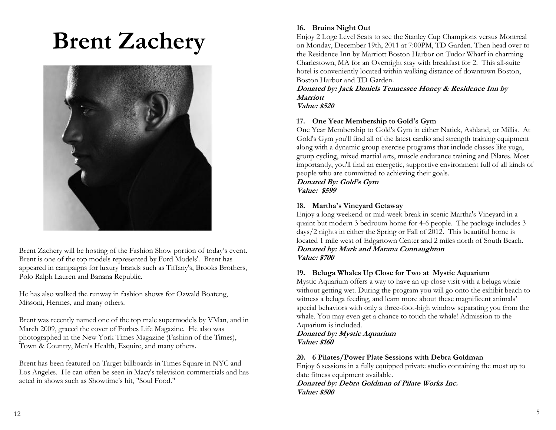## **Brent Zachery**



Brent Zachery will be hosting of the Fashion Show portion of today's event. Brent is one of the top models represented by Ford Models'. Brent has appeared in campaigns for luxury brands such as Tiffany's, Brooks Brothers, Polo Ralph Lauren and Banana Republic.

He has also walked the runway in fashion shows for Ozwald Boateng, Missoni, Hermes, and many others.

Brent was recently named one of the top male supermodels by VMan, and in March 2009, graced the cover of Forbes Life Magazine. He also was photographed in the New York Times Magazine (Fashion of the Times), Town & Country, Men's Health, Esquire, and many others.

Brent has been featured on Target billboards in Times Square in NYC and Los Angeles. He can often be seen in Macy's television commercials and has acted in shows such as Showtime's hit, "Soul Food."

### **16. Bruins Night Out**

Enjoy 2 Loge Level Seats to see the Stanley Cup Champions versus Montreal on Monday, December 19th, 2011 at 7:00PM, TD Garden. Then head over to the Residence Inn by Marriott Boston Harbor on Tudor Wharf in charming Charlestown, MA for an Overnight stay with breakfast for 2. This all-suite hotel is conveniently located within walking distance of downtown Boston, Boston Harbor and TD Garden.

**Donated by: Jack Daniels Tennessee Honey & Residence Inn by Marriott**

### **Value: \$520**

### **17. One Year Membership to Gold's Gym**

One Year Membership to Gold's Gym in either Natick, Ashland, or Millis. At Gold's Gym you'll find all of the latest cardio and strength training equipment along with a dynamic group exercise programs that include classes like yoga, group cycling, mixed martial arts, muscle endurance training and Pilates. Most importantly, you'll find an energetic, supportive environment full of all kinds of people who are committed to achieving their goals.

**Donated By: Gold's Gym Value: \$599**

### **18. Martha's Vineyard Getaway**

Enjoy a long weekend or mid-week break in scenic Martha's Vineyard in a quaint but modern 3 bedroom home for 4-6 people. The package includes 3 days/2 nights in either the Spring or Fall of 2012. This beautiful home is located 1 mile west of Edgartown Center and 2 miles north of South Beach.

### **Donated by: Mark and Marana Connaughton Value: \$700**

### **19. Beluga Whales Up Close for Two at Mystic Aquarium**

Mystic Aquarium offers a way to have an up close visit with a beluga whale without getting wet. During the program you will go onto the exhibit beach to witness a beluga feeding, and learn more about these magnificent animals' special behaviors with only a three-foot-high window separating you from the whale. You may even get a chance to touch the whale! Admission to the Aquarium is included.

**Donated by: Mystic Aquarium Value: \$160**

### **20. 6 Pilates/Power Plate Sessions with Debra Goldman**

Enjoy 6 sessions in a fully equipped private studio containing the most up to date fitness equipment available.

**Donated by: Debra Goldman of Pilate Works Inc. Value: \$500**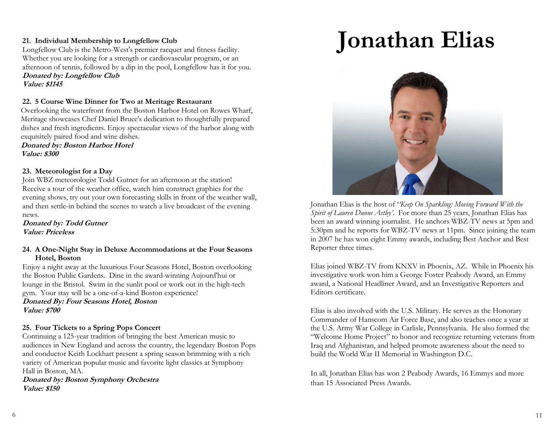### **21. Individual Membership to Longfellow Club**

Longfellow Club is the Metro-West's premier racquet and fitness facility. Whether you are looking for a strength or cardiovascular program, or an afternoon of tennis, followed by a dip in the pool, Longfellow has it for you. **Donated by: Longfellow Club Value: \$1145**

### **22. 5 Course Wine Dinner for Two at Meritage Restaurant**

Overlooking the waterfront from the Boston Harbor Hotel on Rowes Wharf, Meritage showcases Chef Daniel Bruce's dedication to thoughtfully prepared dishes and fresh ingredients. Enjoy spectacular views of the harbor along with exquisitely paired food and wine dishes.

**Donated by: Boston Harbor Hotel Value: \$300**

### **23. Meteorologist for a Day**

Join WBZ meteorologist Todd Gutner for an afternoon at the station! Receive a tour of the weather office, watch him construct graphics for the evening shows, try out your own forecasting skills in front of the weather wall, and then settle-in behind the scenes to watch a live broadcast of the evening news.

**Donated by: Todd Gutner Value: Priceless**

### **24. A One-Night Stay in Deluxe Accommodations at the Four Seasons Hotel, Boston**

Enjoy a night away at the luxurious Four Seasons Hotel, Boston overlooking the Boston Public Gardens. Dine in the award-winning Aujourd'hui or lounge in the Bristol. Swim in the sunlit pool or work out in the high-tech gym. Your stay will be a one-of-a-kind Boston experience!

**Donated By: Four Seasons Hotel, Boston Value: \$700**

### **25. Four Tickets to a Spring Pops Concert**

Continuing a 125-year tradition of bringing the best American music to audiences in New England and across the country, the legendary Boston Pops and conductor Keith Lockhart present a spring season brimming with a rich variety of American popular music and favorite light classics at Symphony Hall in Boston, MA.

**Donated by: Boston Symphony Orchestra Value: \$150**

## **Jonathan Elias**



Jonathan Elias is the host of '*'Keep On Sparkling: Moving Forward With the Spirit of Lauren Dunne Astley'*. For more than 25 years, Jonathan Elias has been an award winning journalist. He anchors WBZ-TV news at 5pm and 5:30pm and he reports for WBZ-TV news at 11pm. Since joining the team in 2007 he has won eight Emmy awards, including Best Anchor and Best Reporter three times.

Elias joined WBZ-TV from KNXV in Phoenix, AZ. While in Phoenix his investigative work won him a George Foster Peabody Award, an Emmy award, a National Headliner Award, and an Investigative Reporters and Editors certificate.

Elias is also involved with the U.S. Military. He serves as the Honorary Commander of Hanscom Air Force Base, and also teaches once a year at the U.S. Army War College in Carlisle, Pennsylvania. He also formed the "Welcome Home Project" to honor and recognize returning veterans from Iraq and Afghanistan, and helped promote awareness about the need to build the World War II Memorial in Washington D.C.

In all, Jonathan Elias has won 2 Peabody Awards, 16 Emmys and more than 15 Associated Press Awards.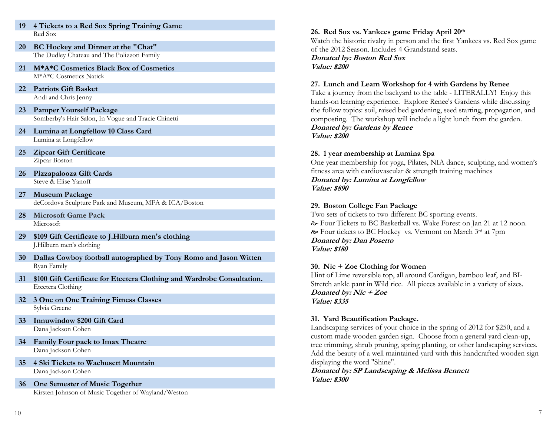- **20 BC Hockey and Dinner at the "Chat"** The Dudley Chateau and The Polizzoti Family
- **21 M\*A\*C Cosmetics Black Box of Cosmetics** M\*A\*C Cosmetics Natick
- **22 Patriots Gift Basket**  Andi and Chris Jenny
- **23 Pamper Yourself Package** Somberby's Hair Salon, In Vogue and Tracie Chinetti
- **24 Lumina at Longfellow 10 Class Card** Lumina at Longfellow
- **25 Zipcar Gift Certificate**  Zipcar Boston
- **26 Pizzapalooza Gift Cards** Steve & Elise Yanoff
- **27 Museum Package** deCordova Sculpture Park and Museum, MFA & ICA/Boston
- **28 Microsoft Game Pack** Microsoft
- **29 \$109 Gift Certificate to J.Hilburn men's clothing** J.Hilburn men's clothing
- **30 Dallas Cowboy football autographed by Tony Romo and Jason Witten** Ryan Family
- **31 \$100 Gift Certificate for Etcetera Clothing and Wardrobe Consultation.** Etcetera Clothing
- **32 3 One on One Training Fitness Classes** Sylvia Greene
- **33 Innuwindow \$200 Gift Card** Dana Jackson Cohen
- **34 Family Four pack to Imax Theatre** Dana Jackson Cohen
- **35 4 Ski Tickets to Wachusett Mountain** Dana Jackson Cohen
- **36 One Semester of Music Together** Kirsten Johnson of Music Together of Wayland/Weston

### **26. Red Sox vs. Yankees game Friday April 20th**

Watch the historic rivalry in person and the first Yankees vs. Red Sox game of the 2012 Season. Includes 4 Grandstand seats.

**Donated by: Boston Red Sox Value: \$200**

### **27. Lunch and Learn Workshop for 4 with Gardens by Renee**

Take a journey from the backyard to the table - LITERALLY! Enjoy this hands-on learning experience. Explore Renee's Gardens while discussing the follow topics: soil, raised bed gardening, seed starting, propagation, and composting. The workshop will include a light lunch from the garden. **Donated by: Gardens by Renee Value: \$200**

### **28. 1 year membership at Lumina Spa**

One year membership for yoga, Pilates, NIA dance, sculpting, and women's fitness area with cardiovascular & strength training machines **Donated by: Lumina at Longfellow Value: \$890**

### **29. Boston College Fan Package**

Two sets of tickets to two different BC sporting events. Four Tickets to BC Basketball vs. Wake Forest on Jan 21 at 12 noon. Four tickets to BC Hockey vs. Vermont on March 3rd at 7pm **Donated by: Dan Posetto Value: \$180**

### **30. Nic + Zoe Clothing for Women**

Hint of Lime reversible top, all around Cardigan, bamboo leaf, and BI-Stretch ankle pant in Wild rice. All pieces available in a variety of sizes. **Donated by: Nic + Zoe Value: \$335**

### **31. Yard Beautification Package.**

Landscaping services of your choice in the spring of 2012 for \$250, and a custom made wooden garden sign. Choose from a general yard clean-up, tree trimming, shrub pruning, spring planting, or other landscaping services. Add the beauty of a well maintained yard with this handcrafted wooden sign displaying the word "Shine".

**Donated by: SP Landscaping & Melissa Bennett Value: \$300**